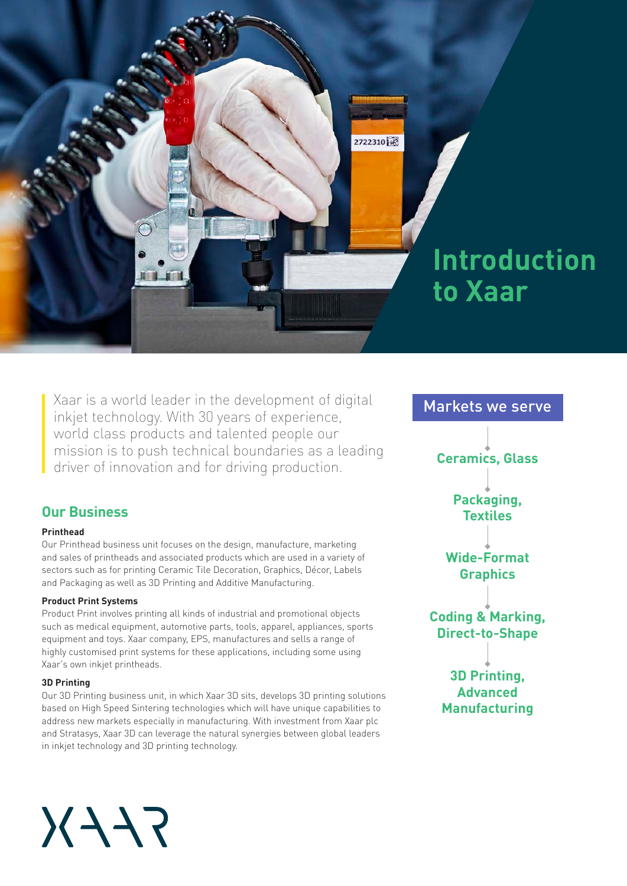

Xaar is a world leader in the development of digital inkjet technology. With 30 years of experience, world class products and talented people our mission is to push technical boundaries as a leading driver of innovation and for driving production.

## **Our Business**

#### **Printhead**

Our Printhead business unit focuses on the design, manufacture, marketing and sales of printheads and associated products which are used in a variety of sectors such as for printing Ceramic Tile Decoration, Graphics, Décor, Labels and Packaging as well as 3D Printing and Additive Manufacturing.

#### **Product Print Systems**

Product Print involves printing all kinds of industrial and promotional objects such as medical equipment, automotive parts, tools, apparel, appliances, sports equipment and toys. Xaar company, EPS, manufactures and sells a range of highly customised print systems for these applications, including some using Xaar's own inkjet printheads.

#### **3D Printing**

Our 3D Printing business unit, in which Xaar 3D sits, develops 3D printing solutions based on High Speed Sintering technologies which will have unique capabilities to address new markets especially in manufacturing. With investment from Xaar plc and Stratasys, Xaar 3D can leverage the natural synergies between global leaders in inkjet technology and 3D printing technology.